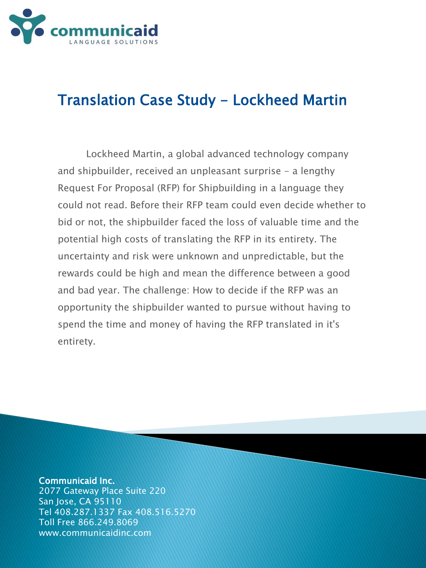

## Translation Case Study - Lockheed Martin

Lockheed Martin, a global advanced technology company and shipbuilder, received an unpleasant surprise  $-$  a lengthy Request For Proposal (RFP) for Shipbuilding in a language they could not read. Before their RFP team could even decide whether to bid or not, the shipbuilder faced the loss of valuable time and the potential high costs of translating the RFP in its entirety. The uncertainty and risk were unknown and unpredictable, but the rewards could be high and mean the difference between a good and bad year. The challenge: How to decide if the RFP was an opportunity the shipbuilder wanted to pursue without having to spend the time and money of having the RFP translated in it's entirety.

## Communicaid Inc.

2077 Gateway Place Suite 220 San Jose, CA 95110 Tel 408.287.1337 Fax 408.516.5270 Toll Free 866.249.8069 www.communicaidinc.com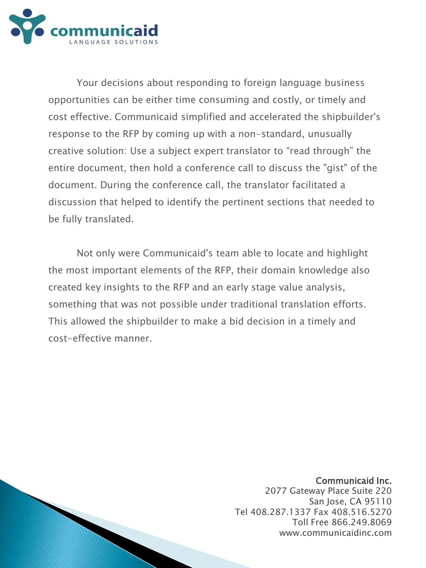

Your decisions about responding to foreign language business opportunities can be either time consuming and costly, or timely and cost effective. Communicaid simplified and accelerated the shipbuilder's response to the RFP by coming up with a non-standard, unusually creative solution: Use a subject expert translator to "read through" the entire document, then hold a conference call to discuss the "gist" of the document. During the conference call, the translator facilitated a discussion that helped to identify the pertinent sections that needed to be fully translated.

Not only were Communicaid's team able to locate and highlight the most important elements of the RFP, their domain knowledge also created key insights to the RFP and an early stage value analysis, something that was not possible under traditional translation efforts. This allowed the shipbuilder to make a bid decision in a timely and cost-effective manner.

## Communicaid Inc.

2077 Gateway Place Suite 220 San Jose, CA 95110 Tel 408.287.1337 Fax 408.516.5270 Toll Free 866.249.8069 www.communicaidinc.com